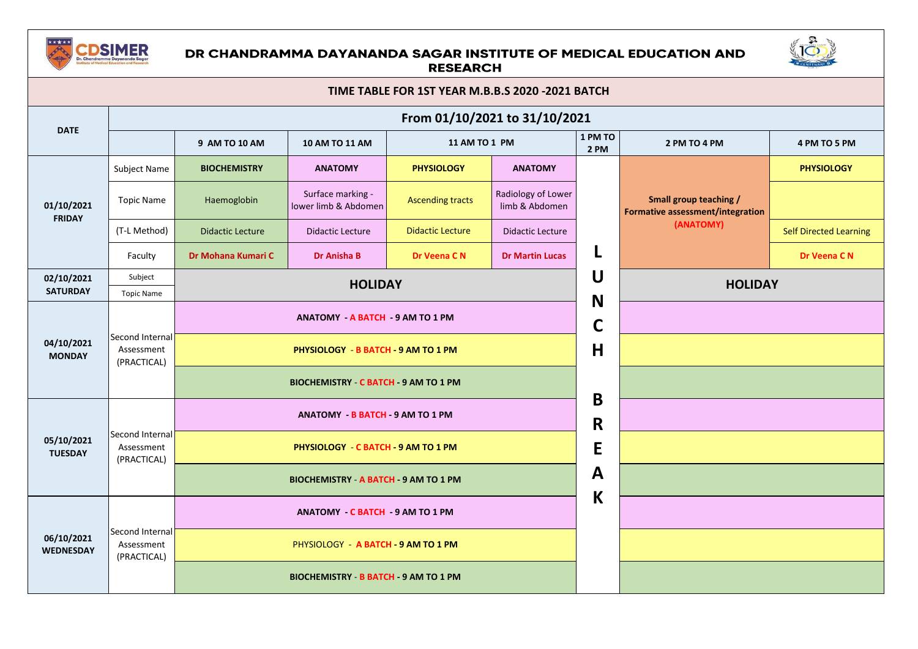

## DR CHANDRAMMA DAYANANDA SAGAR INSTITUTE OF MEDICAL EDUCATION AND **RESEARCH**



| TIME TABLE FOR 1ST YEAR M.B.B.S 2020 -2021 BATCH |                                              |                                              |                                              |                         |                                      |                 |                                                                         |                               |  |  |
|--------------------------------------------------|----------------------------------------------|----------------------------------------------|----------------------------------------------|-------------------------|--------------------------------------|-----------------|-------------------------------------------------------------------------|-------------------------------|--|--|
| <b>DATE</b>                                      |                                              | From 01/10/2021 to 31/10/2021                |                                              |                         |                                      |                 |                                                                         |                               |  |  |
|                                                  |                                              | 9 AM TO 10 AM                                | <b>10 AM TO 11 AM</b>                        | 11 AM TO 1 PM           |                                      | 1 PM TO<br>2 PM | 2 PM TO 4 PM                                                            | 4 PM TO 5 PM                  |  |  |
| 01/10/2021<br><b>FRIDAY</b>                      | Subject Name                                 | <b>BIOCHEMISTRY</b>                          | <b>ANATOMY</b>                               | <b>PHYSIOLOGY</b>       | <b>ANATOMY</b>                       |                 |                                                                         | <b>PHYSIOLOGY</b>             |  |  |
|                                                  | <b>Topic Name</b>                            | Haemoglobin                                  | Surface marking -<br>lower limb & Abdomen    | <b>Ascending tracts</b> | Radiology of Lower<br>limb & Abdomen |                 | Small group teaching /<br>Formative assessment/integration<br>(ANATOMY) |                               |  |  |
|                                                  | (T-L Method)                                 | <b>Didactic Lecture</b>                      | <b>Didactic Lecture</b>                      | <b>Didactic Lecture</b> | <b>Didactic Lecture</b>              |                 |                                                                         | <b>Self Directed Learning</b> |  |  |
|                                                  | Faculty                                      | Dr Mohana Kumari C                           | <b>Dr Anisha B</b>                           | Dr Veena C N            | <b>Dr Martin Lucas</b>               | L               |                                                                         | Dr Veena C N                  |  |  |
| 02/10/2021<br><b>SATURDAY</b>                    | Subject                                      |                                              | <b>HOLIDAY</b>                               |                         |                                      | U               | <b>HOLIDAY</b>                                                          |                               |  |  |
|                                                  | <b>Topic Name</b>                            |                                              |                                              |                         |                                      | N               |                                                                         |                               |  |  |
|                                                  | Second Internal<br>Assessment<br>(PRACTICAL) | ANATOMY - A BATCH - 9 AM TO 1 PM             |                                              |                         |                                      |                 |                                                                         |                               |  |  |
| 04/10/2021<br><b>MONDAY</b>                      |                                              | PHYSIOLOGY - B BATCH - 9 AM TO 1 PM          |                                              |                         |                                      |                 |                                                                         |                               |  |  |
|                                                  |                                              | BIOCHEMISTRY C BATCH 9 AM TO 1 PM            |                                              |                         |                                      |                 |                                                                         |                               |  |  |
|                                                  |                                              | <b>ANATOMY - B BATCH - 9 AM TO 1 PM</b>      |                                              |                         |                                      |                 |                                                                         |                               |  |  |
| 05/10/2021<br><b>TUESDAY</b>                     | Second Internal<br>Assessment<br>(PRACTICAL) | PHYSIOLOGY - C BATCH - 9 AM TO 1 PM          |                                              |                         |                                      |                 |                                                                         |                               |  |  |
|                                                  |                                              | <b>BIOCHEMISTRY - A BATCH - 9 AM TO 1 PM</b> |                                              |                         |                                      |                 |                                                                         |                               |  |  |
|                                                  |                                              | <b>ANATOMY - C BATCH - 9 AM TO 1 PM</b>      |                                              |                         |                                      |                 |                                                                         |                               |  |  |
| 06/10/2021<br><b>WEDNESDAY</b>                   | Second Internal<br>Assessment<br>(PRACTICAL) |                                              | PHYSIOLOGY - A BATCH - 9 AM TO 1 PM          |                         |                                      |                 |                                                                         |                               |  |  |
|                                                  |                                              |                                              | <b>BIOCHEMISTRY - B BATCH - 9 AM TO 1 PM</b> |                         |                                      |                 |                                                                         |                               |  |  |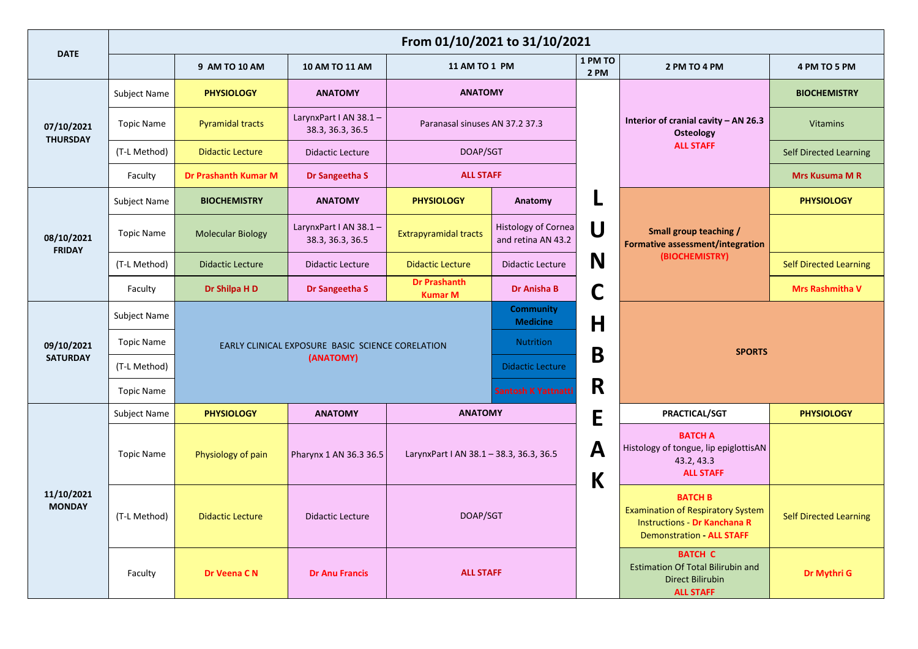|                               | From 01/10/2021 to 31/10/2021 |                             |                                            |                                                                                                                                     |                                                  |                   |                                                                                                                                       |                               |  |  |
|-------------------------------|-------------------------------|-----------------------------|--------------------------------------------|-------------------------------------------------------------------------------------------------------------------------------------|--------------------------------------------------|-------------------|---------------------------------------------------------------------------------------------------------------------------------------|-------------------------------|--|--|
| <b>DATE</b>                   |                               | 9 AM TO 10 AM               | 10 AM TO 11 AM                             | <b>11 AM TO 1 PM</b>                                                                                                                |                                                  | 1 PM TO<br>2 PM   | 2 PM TO 4 PM                                                                                                                          | 4 PM TO 5 PM                  |  |  |
| 07/10/2021<br><b>THURSDAY</b> | Subject Name                  | <b>PHYSIOLOGY</b>           | <b>ANATOMY</b>                             | <b>ANATOMY</b>                                                                                                                      |                                                  |                   |                                                                                                                                       | <b>BIOCHEMISTRY</b>           |  |  |
|                               | <b>Topic Name</b>             | <b>Pyramidal tracts</b>     | LarynxPart I AN 38.1 -<br>38.3, 36.3, 36.5 | Paranasal sinuses AN 37.2 37.3                                                                                                      |                                                  |                   | Interior of cranial cavity - AN 26.3<br><b>Osteology</b>                                                                              | <b>Vitamins</b>               |  |  |
|                               | (T-L Method)                  | <b>Didactic Lecture</b>     | <b>Didactic Lecture</b>                    | DOAP/SGT                                                                                                                            |                                                  |                   | <b>ALL STAFF</b>                                                                                                                      | <b>Self Directed Learning</b> |  |  |
|                               | Faculty                       | <b>Dr Prashanth Kumar M</b> | Dr Sangeetha S                             | <b>ALL STAFF</b>                                                                                                                    |                                                  |                   |                                                                                                                                       | <b>Mrs Kusuma M R</b>         |  |  |
|                               | Subject Name                  | <b>BIOCHEMISTRY</b>         | <b>ANATOMY</b>                             | <b>PHYSIOLOGY</b>                                                                                                                   | Anatomy                                          |                   |                                                                                                                                       | <b>PHYSIOLOGY</b>             |  |  |
| 08/10/2021<br><b>FRIDAY</b>   | <b>Topic Name</b>             | <b>Molecular Biology</b>    | LarynxPart I AN 38.1 -<br>38.3, 36.3, 36.5 | <b>Extrapyramidal tracts</b>                                                                                                        | <b>Histology of Cornea</b><br>and retina AN 43.2 | U                 | <b>Small group teaching /</b><br>Formative assessment/integration<br>(BIOCHEMISTRY)                                                   |                               |  |  |
|                               | (T-L Method)                  | <b>Didactic Lecture</b>     | <b>Didactic Lecture</b>                    | <b>Didactic Lecture</b>                                                                                                             | <b>Didactic Lecture</b>                          | N                 |                                                                                                                                       | <b>Self Directed Learning</b> |  |  |
|                               | Faculty                       | Dr Shilpa H D               | Dr Sangeetha S                             | <b>Dr Prashanth</b><br><b>Kumar M</b>                                                                                               | Dr Anisha B                                      | C                 |                                                                                                                                       | <b>Mrs Rashmitha V</b>        |  |  |
|                               | Subject Name                  |                             |                                            |                                                                                                                                     | <b>Community</b><br><b>Medicine</b>              | $\mathsf{H}$      |                                                                                                                                       |                               |  |  |
| 09/10/2021                    | <b>Topic Name</b>             |                             |                                            | <b>Nutrition</b><br>EARLY CLINICAL EXPOSURE BASIC SCIENCE CORELATION<br>(ANATOMY)<br><b>Didactic Lecture</b><br>Santosh K Yattnatti |                                                  |                   | <b>SPORTS</b>                                                                                                                         |                               |  |  |
| <b>SATURDAY</b>               | (T-L Method)                  |                             |                                            |                                                                                                                                     |                                                  | B                 |                                                                                                                                       |                               |  |  |
|                               | <b>Topic Name</b>             |                             |                                            |                                                                                                                                     |                                                  | R                 |                                                                                                                                       |                               |  |  |
|                               | <b>Subject Name</b>           | <b>PHYSIOLOGY</b>           | <b>ANATOMY</b>                             | <b>ANATOMY</b>                                                                                                                      |                                                  | E                 | PRACTICAL/SGT                                                                                                                         | <b>PHYSIOLOGY</b>             |  |  |
|                               | <b>Topic Name</b>             | Physiology of pain          | Pharynx 1 AN 36.3 36.5                     | LarynxPart I AN 38.1 - 38.3, 36.3, 36.5                                                                                             |                                                  | $\mathbf{A}$<br>K | <b>BATCH A</b><br>Histology of tongue, lip epiglottisAN<br>43.2, 43.3<br><b>ALL STAFF</b>                                             |                               |  |  |
| 11/10/2021<br><b>MONDAY</b>   | (T-L Method)                  | <b>Didactic Lecture</b>     | <b>Didactic Lecture</b>                    | DOAP/SGT                                                                                                                            |                                                  |                   | <b>BATCH B</b><br><b>Examination of Respiratory System</b><br><b>Instructions - Dr Kanchana R</b><br><b>Demonstration - ALL STAFF</b> | <b>Self Directed Learning</b> |  |  |
|                               | Faculty                       | Dr Veena C N                | <b>Dr Anu Francis</b>                      | <b>ALL STAFF</b>                                                                                                                    |                                                  |                   | <b>BATCH C</b><br><b>Estimation Of Total Bilirubin and</b><br><b>Direct Bilirubin</b><br><b>ALL STAFF</b>                             | Dr Mythri G                   |  |  |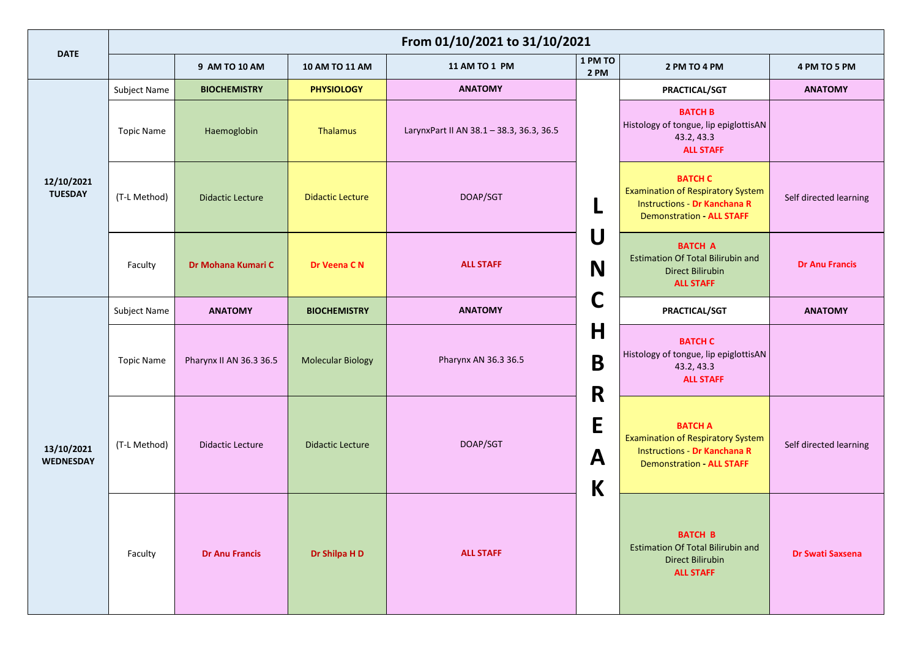|                                | From 01/10/2021 to 31/10/2021 |                         |                          |                                          |                        |                                                                                                                                       |                         |  |  |
|--------------------------------|-------------------------------|-------------------------|--------------------------|------------------------------------------|------------------------|---------------------------------------------------------------------------------------------------------------------------------------|-------------------------|--|--|
| <b>DATE</b>                    |                               | 9 AM TO 10 AM           | 10 AM TO 11 AM           | 11 AM TO 1 PM                            | 1 PM TO<br><b>2 PM</b> | 2 PM TO 4 PM                                                                                                                          | 4 PM TO 5 PM            |  |  |
|                                | Subject Name                  | <b>BIOCHEMISTRY</b>     | <b>PHYSIOLOGY</b>        | <b>ANATOMY</b>                           |                        | PRACTICAL/SGT                                                                                                                         | <b>ANATOMY</b>          |  |  |
| 12/10/2021<br><b>TUESDAY</b>   | <b>Topic Name</b>             | Haemoglobin             | Thalamus                 | LarynxPart II AN 38.1 - 38.3, 36.3, 36.5 |                        | <b>BATCH B</b><br>Histology of tongue, lip epiglottisAN<br>43.2, 43.3<br><b>ALL STAFF</b>                                             |                         |  |  |
|                                | (T-L Method)                  | <b>Didactic Lecture</b> | <b>Didactic Lecture</b>  | DOAP/SGT                                 | U                      | <b>BATCH C</b><br><b>Examination of Respiratory System</b><br><b>Instructions - Dr Kanchana R</b><br><b>Demonstration - ALL STAFF</b> | Self directed learning  |  |  |
|                                | Faculty                       | Dr Mohana Kumari C      | Dr Veena C N             | N<br><b>ALL STAFF</b>                    |                        | <b>BATCH A</b><br><b>Estimation Of Total Bilirubin and</b><br><b>Direct Bilirubin</b><br><b>ALL STAFF</b>                             | <b>Dr Anu Francis</b>   |  |  |
|                                | Subject Name                  | <b>ANATOMY</b>          | <b>BIOCHEMISTRY</b>      | C<br><b>ANATOMY</b>                      |                        | PRACTICAL/SGT                                                                                                                         | <b>ANATOMY</b>          |  |  |
| 13/10/2021<br><b>WEDNESDAY</b> | <b>Topic Name</b>             | Pharynx II AN 36.3 36.5 | <b>Molecular Biology</b> | Pharynx AN 36.3 36.5                     | H<br>$\mathbf B$<br>R  | <b>BATCH C</b><br>Histology of tongue, lip epiglottisAN<br>43.2, 43.3<br><b>ALL STAFF</b>                                             |                         |  |  |
|                                | (T-L Method)                  | <b>Didactic Lecture</b> | <b>Didactic Lecture</b>  | DOAP/SGT<br><b>ALL STAFF</b>             |                        | <b>BATCH A</b><br><b>Examination of Respiratory System</b><br><b>Instructions - Dr Kanchana R</b><br><b>Demonstration - ALL STAFF</b> | Self directed learning  |  |  |
|                                | Faculty                       | <b>Dr Anu Francis</b>   | Dr Shilpa H D            |                                          |                        | <b>BATCH B</b><br><b>Estimation Of Total Bilirubin and</b><br><b>Direct Bilirubin</b><br><b>ALL STAFF</b>                             | <b>Dr Swati Saxsena</b> |  |  |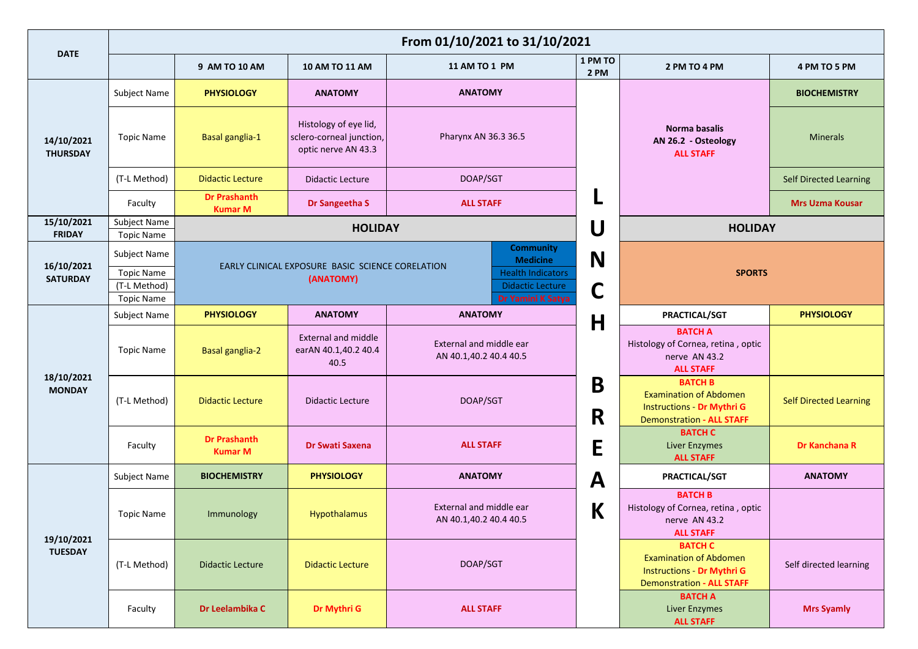|                               | From 01/10/2021 to 31/10/2021                          |                                       |                                                                          |                                                                          |                    |                                                                                                                          |                               |  |  |  |
|-------------------------------|--------------------------------------------------------|---------------------------------------|--------------------------------------------------------------------------|--------------------------------------------------------------------------|--------------------|--------------------------------------------------------------------------------------------------------------------------|-------------------------------|--|--|--|
| <b>DATE</b>                   |                                                        | 9 AM TO 10 AM                         | <b>10 AM TO 11 AM</b>                                                    | 11 AM TO 1 PM                                                            | 1 PM TO<br>2 PM    | 2 PM TO 4 PM                                                                                                             | 4 PM TO 5 PM                  |  |  |  |
|                               | Subject Name                                           | <b>PHYSIOLOGY</b>                     | <b>ANATOMY</b>                                                           | <b>ANATOMY</b>                                                           |                    |                                                                                                                          | <b>BIOCHEMISTRY</b>           |  |  |  |
| 14/10/2021<br><b>THURSDAY</b> | Topic Name                                             | Basal ganglia-1                       | Histology of eye lid,<br>sclero-corneal junction,<br>optic nerve AN 43.3 | Pharynx AN 36.3 36.5                                                     |                    | Norma basalis<br>AN 26.2 - Osteology<br><b>ALL STAFF</b>                                                                 | <b>Minerals</b>               |  |  |  |
|                               | (T-L Method)                                           | <b>Didactic Lecture</b>               | <b>Didactic Lecture</b>                                                  | DOAP/SGT                                                                 |                    |                                                                                                                          | <b>Self Directed Learning</b> |  |  |  |
|                               | Faculty                                                | <b>Dr Prashanth</b><br><b>Kumar M</b> | Dr Sangeetha S                                                           | <b>ALL STAFF</b>                                                         | ч                  |                                                                                                                          | <b>Mrs Uzma Kousar</b>        |  |  |  |
| 15/10/2021<br><b>FRIDAY</b>   | Subject Name<br><b>Topic Name</b>                      |                                       | <b>HOLIDAY</b>                                                           |                                                                          | U                  | <b>HOLIDAY</b>                                                                                                           |                               |  |  |  |
|                               | Subject Name                                           |                                       |                                                                          | <b>Community</b><br><b>Medicine</b>                                      | N                  |                                                                                                                          |                               |  |  |  |
| 16/10/2021<br><b>SATURDAY</b> | <b>Topic Name</b><br>(T-L Method)<br><b>Topic Name</b> |                                       | EARLY CLINICAL EXPOSURE BASIC SCIENCE CORELATION<br>(ANATOMY)            | <b>Health Indicators</b><br><b>Didactic Lecture</b><br>Dr Yamini K Satya | <b>SPORTS</b><br>C |                                                                                                                          |                               |  |  |  |
|                               | Subject Name                                           | <b>PHYSIOLOGY</b>                     | <b>ANATOMY</b>                                                           | <b>ANATOMY</b>                                                           | H                  | PRACTICAL/SGT                                                                                                            | <b>PHYSIOLOGY</b>             |  |  |  |
|                               | Topic Name                                             | <b>Basal ganglia-2</b>                | <b>External and middle</b><br>earAN 40.1,40.2 40.4<br>40.5               | External and middle ear<br>AN 40.1,40.2 40.4 40.5                        |                    | <b>BATCH A</b><br>Histology of Cornea, retina, optic<br>nerve AN 43.2<br><b>ALL STAFF</b>                                |                               |  |  |  |
| 18/10/2021<br><b>MONDAY</b>   | (T-L Method)                                           | <b>Didactic Lecture</b>               | <b>Didactic Lecture</b>                                                  | DOAP/SGT                                                                 | B<br>R             | <b>BATCH B</b><br><b>Examination of Abdomen</b><br><b>Instructions - Dr Mythri G</b><br><b>Demonstration - ALL STAFF</b> | <b>Self Directed Learning</b> |  |  |  |
|                               | Faculty                                                | <b>Dr Prashanth</b><br><b>Kumar M</b> | <b>Dr Swati Saxena</b>                                                   | <b>ALL STAFF</b>                                                         | E                  | <b>BATCH C</b><br><b>Liver Enzymes</b><br><b>ALL STAFF</b>                                                               | Dr Kanchana R                 |  |  |  |
|                               | Subject Name                                           | <b>BIOCHEMISTRY</b>                   | <b>PHYSIOLOGY</b>                                                        | <b>ANATOMY</b>                                                           | A                  | PRACTICAL/SGT                                                                                                            | <b>ANATOMY</b>                |  |  |  |
|                               | <b>Topic Name</b>                                      | Immunology                            | Hypothalamus                                                             | External and middle ear<br>AN 40.1,40.2 40.4 40.5                        | К                  | <b>BATCH B</b><br>Histology of Cornea, retina, optic<br>nerve AN 43.2<br><b>ALL STAFF</b>                                |                               |  |  |  |
| 19/10/2021<br><b>TUESDAY</b>  | (T-L Method)                                           | <b>Didactic Lecture</b>               | <b>Didactic Lecture</b>                                                  | DOAP/SGT                                                                 |                    | <b>BATCH C</b><br><b>Examination of Abdomen</b><br><b>Instructions - Dr Mythri G</b><br><b>Demonstration - ALL STAFF</b> | Self directed learning        |  |  |  |
|                               | Faculty                                                | Dr Leelambika C                       | Dr Mythri G                                                              | <b>ALL STAFF</b>                                                         |                    | <b>BATCH A</b><br><b>Liver Enzymes</b><br><b>ALL STAFF</b>                                                               | <b>Mrs Syamly</b>             |  |  |  |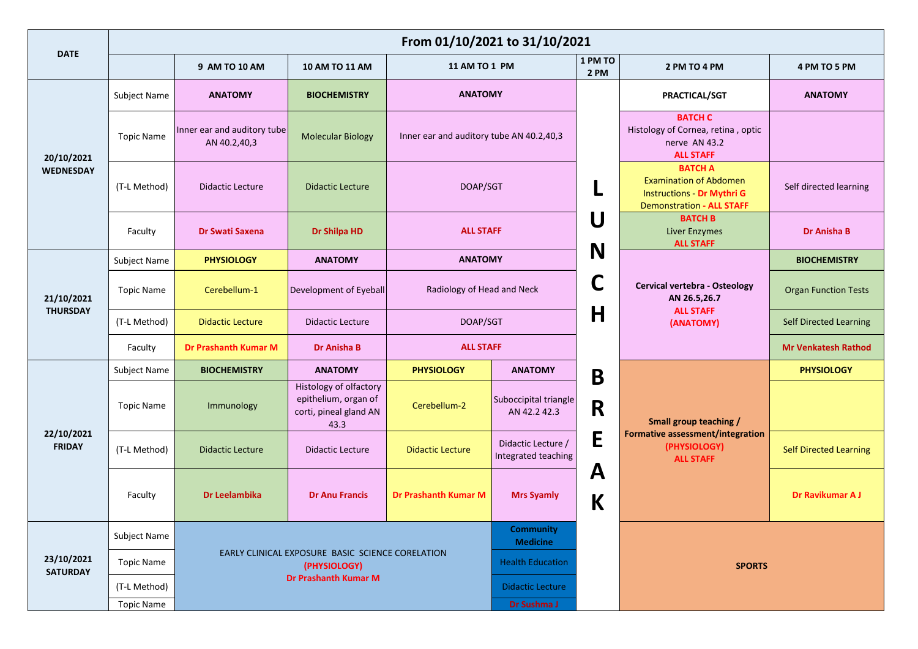|                                | From 01/10/2021 to 31/10/2021 |                                             |                                                                                  |                                          |                                           |                 |                                                                                                                          |                               |  |  |
|--------------------------------|-------------------------------|---------------------------------------------|----------------------------------------------------------------------------------|------------------------------------------|-------------------------------------------|-----------------|--------------------------------------------------------------------------------------------------------------------------|-------------------------------|--|--|
| <b>DATE</b>                    |                               | 9 AM TO 10 AM                               | <b>10 AM TO 11 AM</b>                                                            | 11 AM TO 1 PM                            |                                           | 1 PM TO<br>2 PM | 2 PM TO 4 PM                                                                                                             | 4 PM TO 5 PM                  |  |  |
| 20/10/2021<br><b>WEDNESDAY</b> | Subject Name                  | <b>ANATOMY</b>                              | <b>BIOCHEMISTRY</b>                                                              | <b>ANATOMY</b>                           |                                           |                 | PRACTICAL/SGT                                                                                                            | <b>ANATOMY</b>                |  |  |
|                                | <b>Topic Name</b>             | Inner ear and auditory tube<br>AN 40.2,40,3 | <b>Molecular Biology</b>                                                         | Inner ear and auditory tube AN 40.2,40,3 |                                           |                 | <b>BATCH C</b><br>Histology of Cornea, retina, optic<br>nerve AN 43.2<br><b>ALL STAFF</b>                                |                               |  |  |
|                                | (T-L Method)                  | <b>Didactic Lecture</b>                     | <b>Didactic Lecture</b>                                                          | DOAP/SGT                                 |                                           |                 | <b>BATCH A</b><br><b>Examination of Abdomen</b><br><b>Instructions - Dr Mythri G</b><br><b>Demonstration - ALL STAFF</b> | Self directed learning        |  |  |
|                                | Faculty                       | Dr Swati Saxena                             | Dr Shilpa HD                                                                     | <b>ALL STAFF</b>                         |                                           | U               | <b>BATCH B</b><br><b>Liver Enzymes</b><br><b>ALL STAFF</b>                                                               | <b>Dr Anisha B</b>            |  |  |
|                                | Subject Name                  | <b>PHYSIOLOGY</b>                           | <b>ANATOMY</b>                                                                   | <b>ANATOMY</b>                           |                                           | N               |                                                                                                                          | <b>BIOCHEMISTRY</b>           |  |  |
| 21/10/2021                     | <b>Topic Name</b>             | Cerebellum-1                                | Development of Eyeball                                                           | Radiology of Head and Neck               |                                           | C               | Cervical vertebra - Osteology<br>AN 26.5,26.7                                                                            | <b>Organ Function Tests</b>   |  |  |
| <b>THURSDAY</b>                | (T-L Method)                  | <b>Didactic Lecture</b>                     | <b>Didactic Lecture</b>                                                          | DOAP/SGT                                 |                                           | $\mathsf H$     | <b>ALL STAFF</b><br>(ANATOMY)                                                                                            | <b>Self Directed Learning</b> |  |  |
|                                | Faculty                       | <b>Dr Prashanth Kumar M</b>                 | <b>Dr Anisha B</b>                                                               | <b>ALL STAFF</b>                         |                                           |                 |                                                                                                                          | <b>Mr Venkatesh Rathod</b>    |  |  |
|                                | <b>Subject Name</b>           | <b>BIOCHEMISTRY</b>                         | <b>ANATOMY</b>                                                                   | <b>PHYSIOLOGY</b>                        | <b>ANATOMY</b>                            | B               |                                                                                                                          | <b>PHYSIOLOGY</b>             |  |  |
|                                | <b>Topic Name</b>             | Immunology                                  | Histology of olfactory<br>epithelium, organ of<br>corti, pineal gland AN<br>43.3 | Cerebellum-2                             | Suboccipital triangle<br>AN 42.2 42.3     | R               | Small group teaching /                                                                                                   |                               |  |  |
| 22/10/2021<br><b>FRIDAY</b>    | (T-L Method)                  | <b>Didactic Lecture</b>                     | <b>Didactic Lecture</b>                                                          | <b>Didactic Lecture</b>                  | Didactic Lecture /<br>Integrated teaching | E               | Formative assessment/integration<br>(PHYSIOLOGY)<br><b>ALL STAFF</b>                                                     | <b>Self Directed Learning</b> |  |  |
|                                | Faculty                       | Dr Leelambika                               | <b>Dr Anu Francis</b>                                                            | <b>Dr Prashanth Kumar M</b>              | <b>Mrs Syamly</b>                         | A<br>K          |                                                                                                                          | Dr Ravikumar A J              |  |  |
|                                | Subject Name                  |                                             |                                                                                  | <b>Community</b><br><b>Medicine</b>      |                                           |                 |                                                                                                                          |                               |  |  |
| 23/10/2021<br><b>SATURDAY</b>  | <b>Topic Name</b>             |                                             | EARLY CLINICAL EXPOSURE BASIC SCIENCE CORELATION<br>(PHYSIOLOGY)                 |                                          | <b>Health Education</b>                   |                 | <b>SPORTS</b>                                                                                                            |                               |  |  |
|                                | (T-L Method)                  |                                             | Dr Prashanth Kumar M                                                             |                                          | <b>Didactic Lecture</b>                   |                 |                                                                                                                          |                               |  |  |
|                                | <b>Topic Name</b>             |                                             |                                                                                  |                                          | Dr Sushma J                               |                 |                                                                                                                          |                               |  |  |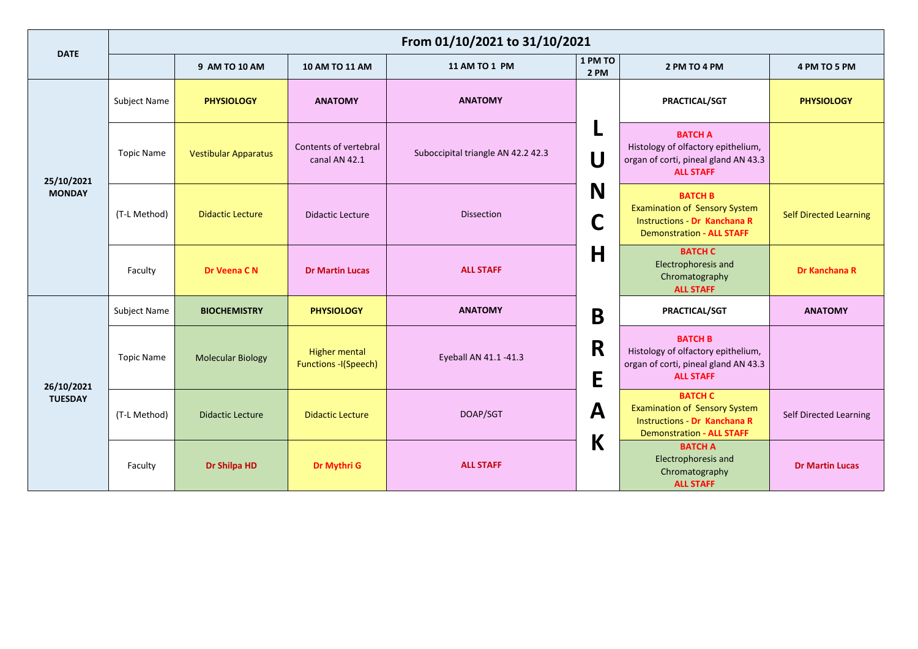| <b>DATE</b>                  | From 01/10/2021 to 31/10/2021 |                             |                                                     |                                    |                 |                                                                                                                                   |                               |  |  |
|------------------------------|-------------------------------|-----------------------------|-----------------------------------------------------|------------------------------------|-----------------|-----------------------------------------------------------------------------------------------------------------------------------|-------------------------------|--|--|
|                              |                               | 9 AM TO 10 AM               | 10 AM TO 11 AM                                      | 11 AM TO 1 PM                      | 1 PM TO<br>2 PM | 2 PM TO 4 PM                                                                                                                      | 4 PM TO 5 PM                  |  |  |
| 25/10/2021<br><b>MONDAY</b>  | Subject Name                  | <b>PHYSIOLOGY</b>           | <b>ANATOMY</b>                                      | <b>ANATOMY</b>                     |                 | PRACTICAL/SGT                                                                                                                     | <b>PHYSIOLOGY</b>             |  |  |
|                              | <b>Topic Name</b>             | <b>Vestibular Apparatus</b> | Contents of vertebral<br>canal AN 42.1              | Suboccipital triangle AN 42.2 42.3 | L<br>U          | <b>BATCH A</b><br>Histology of olfactory epithelium,<br>organ of corti, pineal gland AN 43.3<br><b>ALL STAFF</b>                  |                               |  |  |
|                              | (T-L Method)                  | <b>Didactic Lecture</b>     | <b>Didactic Lecture</b>                             | <b>Dissection</b>                  | N<br>C          | <b>BATCH B</b><br><b>Examination of Sensory System</b><br><b>Instructions - Dr Kanchana R</b><br><b>Demonstration - ALL STAFF</b> | <b>Self Directed Learning</b> |  |  |
|                              | Faculty                       | Dr Veena C N                | <b>Dr Martin Lucas</b>                              | <b>ALL STAFF</b>                   | Η               | <b>BATCH C</b><br>Electrophoresis and<br>Chromatography<br><b>ALL STAFF</b>                                                       | Dr Kanchana R                 |  |  |
|                              | Subject Name                  | <b>BIOCHEMISTRY</b>         | <b>PHYSIOLOGY</b>                                   | <b>ANATOMY</b>                     | B               | PRACTICAL/SGT                                                                                                                     | <b>ANATOMY</b>                |  |  |
| 26/10/2021<br><b>TUESDAY</b> | <b>Topic Name</b>             | <b>Molecular Biology</b>    | <b>Higher mental</b><br><b>Functions -I(Speech)</b> | Eyeball AN 41.1 -41.3              | R<br>E          | <b>BATCH B</b><br>Histology of olfactory epithelium,<br>organ of corti, pineal gland AN 43.3<br><b>ALL STAFF</b>                  |                               |  |  |
|                              | (T-L Method)                  | <b>Didactic Lecture</b>     | <b>Didactic Lecture</b>                             | DOAP/SGT                           | A               | <b>BATCH C</b><br><b>Examination of Sensory System</b><br><b>Instructions - Dr Kanchana R</b><br><b>Demonstration - ALL STAFF</b> | Self Directed Learning        |  |  |
|                              | Faculty                       | Dr Shilpa HD                | Dr Mythri G                                         | <b>ALL STAFF</b>                   | K               | <b>BATCH A</b><br><b>Electrophoresis and</b><br>Chromatography<br><b>ALL STAFF</b>                                                | <b>Dr Martin Lucas</b>        |  |  |